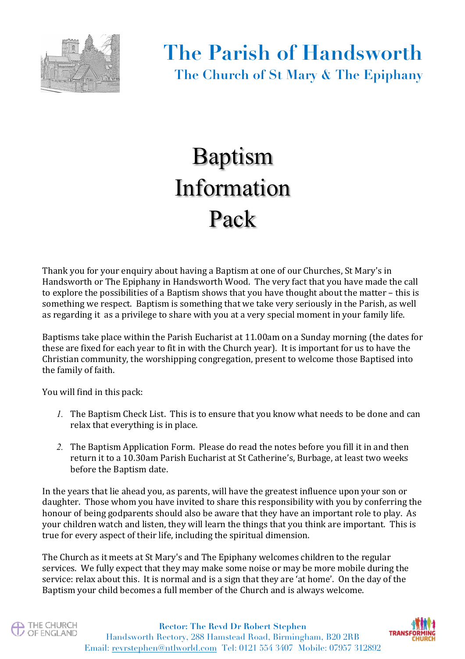

## Baptism Information Pack

Thank you for your enquiry about having a Baptism at one of our Churches, St Mary's in Handsworth or The Epiphany in Handsworth Wood. The very fact that you have made the call to explore the possibilities of a Baptism shows that you have thought about the matter – this is something we respect. Baptism is something that we take very seriously in the Parish, as well as regarding it as a privilege to share with you at a very special moment in your family life.

Baptisms take place within the Parish Eucharist at 11.00am on a Sunday morning (the dates for these are fixed for each year to fit in with the Church year). It is important for us to have the Christian community, the worshipping congregation, present to welcome those Baptised into the family of faith.

You will find in this pack:

- *1.* The Baptism Check List. This is to ensure that you know what needs to be done and can relax that everything is in place.
- 2. The Baptism Application Form. Please do read the notes before you fill it in and then return it to a 10.30am Parish Eucharist at St Catherine's, Burbage, at least two weeks before the Baptism date.

In the years that lie ahead you, as parents, will have the greatest influence upon your son or daughter. Those whom you have invited to share this responsibility with you by conferring the honour of being godparents should also be aware that they have an important role to play. As your children watch and listen, they will learn the things that you think are important. This is true for every aspect of their life, including the spiritual dimension. 

The Church as it meets at St Mary's and The Epiphany welcomes children to the regular services. We fully expect that they may make some noise or may be more mobile during the service: relax about this. It is normal and is a sign that they are 'at home'. On the day of the Baptism your child becomes a full member of the Church and is always welcome.



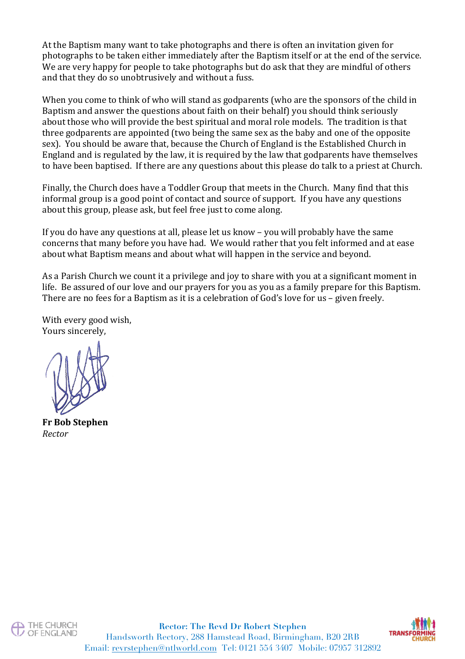At the Baptism many want to take photographs and there is often an invitation given for photographs to be taken either immediately after the Baptism itself or at the end of the service. We are very happy for people to take photographs but do ask that they are mindful of others and that they do so unobtrusively and without a fuss.

When you come to think of who will stand as godparents (who are the sponsors of the child in Baptism and answer the questions about faith on their behalf) you should think seriously about those who will provide the best spiritual and moral role models. The tradition is that three godparents are appointed (two being the same sex as the baby and one of the opposite sex). You should be aware that, because the Church of England is the Established Church in England and is regulated by the law, it is required by the law that godparents have themselves to have been baptised. If there are any questions about this please do talk to a priest at Church.

Finally, the Church does have a Toddler Group that meets in the Church. Many find that this informal group is a good point of contact and source of support. If you have any questions about this group, please ask, but feel free just to come along.

If you do have any questions at all, please let us know – you will probably have the same concerns that many before you have had. We would rather that you felt informed and at ease about what Baptism means and about what will happen in the service and beyond.

As a Parish Church we count it a privilege and joy to share with you at a significant moment in life. Be assured of our love and our prayers for you as you as a family prepare for this Baptism. There are no fees for a Baptism as it is a celebration of God's love for us – given freely.

With every good wish, Yours sincerely,

**Fr Bob Stephen** *Rector*